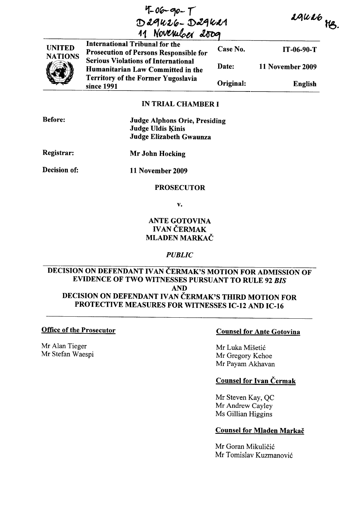$4 - 06 - 90 - 7$  $D29426 - D29421$ 



11 Novewhere 2009 Prosecution of Persons Responsible for Serious Violations of International Humanitarian Law Committed in the Territory of the Former Yugoslavia since 1991 Case No. Date: Original: IT-06-90-T 11 November 2009 English

## IN TRIAL CHAMBER I

Before:

Judge Alphons Orie, Presiding Judge Uldis Kinis Judge Elizabeth Gwaunza

Registrar:

Mr John Hocking

Decision of:

11 November 2009

#### PROSECUTOR

v.

## ANTE GOTOVINA IVAN CERMAK MLADEN MARKAC

### *PUBLIC*

# DECISION ON DEFENDANT IVAN CERMAK'S MOTION FOR ADMISSION OF EVIDENCE OF TWO WITNESSES PURSUANT TO RULE 92 *BIS*  AND DECISION ON DEFENDANT IVAN ČERMAK'S THIRD MOTION FOR PROTECTIVE MEASURES FOR WITNESSES IC-12 AND IC-16

#### Office of the Prosecutor

Mr Alan Tieger Mr Stefan Waespi

### Counsel for Ante Gotovina

Mr Luka Mišetić Mr Gregory Kehoe Mr Payam Akhavan

## Counsel for Ivan Cermak

Mr Steven Kay, QC Mr Andrew Cayley Ms Gillian Higgins

### Counsel for Mladen Markač

Mr Goran Mikuličić Mr Tomislav Kuzmanovic

aquab ne.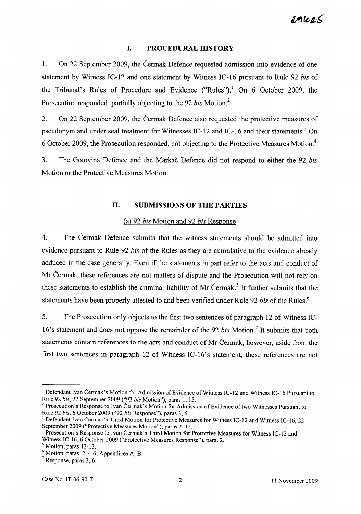### **I. PROCEDURAL HISTORY**

I. On 22 September 2009, the Cermak Defence requested admission into evidence of one statement by Witness IC-12 and one statement by Witness IC-16 pursuant to Rule 92 *bis* of the Tribunal's Rules of Procedure and Evidence ("Rules").<sup>1</sup> On 6 October 2009, the Prosecution responded, partially objecting to the 92 *bis* Motion.<sup>2</sup>

2. On 22 September 2009, the Cermak Defence also requested the protective measures of pseudonym and under seal treatment for Witnesses IC-12 and IC-16 and their statements.<sup>3</sup> On 6 October 2009, the Prosecution responded, not objecting to the Protective Measures Motion.<sup>4</sup>

3. The Gotovina Defence and the Markac Defence did not respond to either the 92 *bis*  Motion or the Protective Measures Motion.

### **II. SUBMISSIONS OF THE PARTIES**

#### (a) 92 *bis* Motion and 92 *bis* Response

4. The Čermak Defence submits that the witness statements should be admitted into evidence pursuant to Rule 92 *bis* of the Rules as they are cumulative to the evidence already adduced in the case generally. Even if the statements in part refer to the acts and conduct of Mr Cermak, these references are not matters of dispute and the Prosecution will not rely on these statements to establish the criminal liability of Mr Čermak.<sup>5</sup> It further submits that the statements have been properly attested to and been verified under Rule 92 *bis* of the Rules.<sup>6</sup>

5. The Prosecution only objects to the first two sentences of paragraph 12 of Witness IC-16's statement and does not oppose the remainder of the 92 *bis* Motion.7 It submits that both statements contain references to the acts and conduct of Mr Cermak, however, aside from the first two sentences in paragraph 12 of Witness IC-16's statement, these references are not

<sup>&</sup>lt;sup>1</sup> Defendant Ivan Čermak's Motion for Admission of Evidence of Witness IC-12 and Witness IC-16 Pursuant to Rule 92 *bis,* 22 September 2009 ("92 *bis* Motion"), paras 1, 15.

 $<sup>2</sup>$  Prosecution's Response to Ivan Čermak's Motion for Admission of Evidence of two Witnesses Pursuant to</sup> Rule 92 *bis,* 6 October 2009 ("92 *bis* Response"), paras 3, 6.

<sup>&</sup>lt;sup>3</sup> Defendant Ivan Čermak's Third Motion for Protective Measures for Witness IC-12 and Witness IC-16, 22 September 2009 ("Protective Measures Motion"), paras 2, 12.

<sup>&</sup>lt;sup>4</sup> Prosecution's Response to Ivan Čermak's Third Motion for Protective Measures for Witness IC-12 and Witness IC-16, 6 October 2009 ("Protective Measures Response"), para. 2.

 $<sup>5</sup>$  Motion, paras 12-13.</sup>

<sup>6</sup> Motion, paras 2, 4-6, Appendices A, B.

<sup>7</sup> Response, paras 3, 6.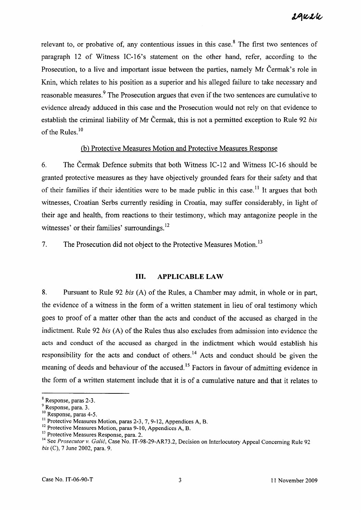relevant to, or probative of, any contentious issues in this case.<sup>8</sup> The first two sentences of paragraph 12 of Witness IC-16's statement on the other hand, refer, according to the Prosecution, to a live and important issue between the parties, namely Mr Cermak's role in Knin, which relates to his position as a superior and his alleged failure to take necessary and reasonable measures.<sup>9</sup> The Prosecution argues that even if the two sentences are cumulative to evidence already adduced in this case and the Prosecution would not rely on that evidence to establish the criminal liability of Mr Cermak, this is not a permitted exception to Rule 92 *bis*  of the Rules. $10$ 

## (b) Protective Measures Motion and Protective Measures Response

6. The Cermak Defence submits that both Witness IC-12 and Witness IC-16 should be granted protective measures as they have objectively grounded fears for their safety and that of their families if their identities were to be made public in this case.<sup>11</sup> It argues that both witnesses, Croatian Serbs currently residing in Croatia, may suffer considerably, in light of their age and health, from reactions to their testimony, which may antagonize people in the witnesses' or their families' surroundings.<sup>12</sup>

7. The Prosecution did not object to the Protective Measures Motion.<sup>13</sup>

### **III. APPLICABLE LAW**

8. Pursuant to Rule 92 *bis* (A) of the Rules, a Chamber may admit, in whole or in part, the evidence of a witness in the form of a written statement in lieu of oral testimony which goes to proof of a matter other than the acts and conduct of the accused as charged in the indictment. Rule 92 *bis* (A) of the Rules thus also excludes from admission into evidence the acts and conduct of the accused as charged in the indictment which would establish his responsibility for the acts and conduct of others.<sup>14</sup> Acts and conduct should be given the meaning of deeds and behaviour of the accused.<sup>15</sup> Factors in favour of admitting evidence in the form of a written statement include that it is of a cumulative nature and that it relates to

<sup>8</sup> Response, paras 2-3.

<sup>9</sup> Response, para. 3.

<sup>&</sup>lt;sup>10</sup> Response, paras 4-5.

<sup>&</sup>lt;sup>11</sup> Protective Measures Motion, paras 2-3, 7, 9-12, Appendices A, B.

<sup>&</sup>lt;sup>12</sup> Protective Measures Motion, paras 9-10, Appendices A, B.

<sup>&</sup>lt;sup>13</sup> Protective Measures Response, para. 2.

<sup>&</sup>lt;sup>14</sup> See *Prosecutor v. Galić*, Case No. IT-98-29-AR73.2, Decision on Interlocutory Appeal Concerning Rule 92 *his* (C), 7 June 2002, para. 9.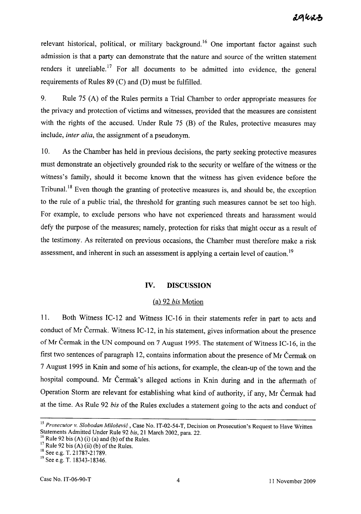relevant historical, political, or military background.<sup>16</sup> One important factor against such admission is that a party can demonstrate that the nature and source of the written statement renders it unreliable.<sup>17</sup> For all documents to be admitted into evidence, the general requirements of Rules 89 (C) and (D) must be fulfilled.

9. Rule 75 (A) of the Rules permits a Trial Chamber to order appropriate measures for the privacy and protection of victims and witnesses, provided that the measures are consistent with the rights of the accused. Under Rule 75 (B) of the Rules, protective measures may include, *inter alia,* the assignment of a pseudonym.

10. As the Chamber has held in previous decisions, the party seeking protective measures must demonstrate an objectively grounded risk to the security or welfare of the witness or the witness's family, should it become known that the witness has given evidence before the Tribunal.<sup>18</sup> Even though the granting of protective measures is, and should be, the exception to the rule of a public trial, the threshold for granting such measures cannot be set too high. For example, to exclude persons who have not experienced threats and harassment would defy the purpose of the measures; namely, protection for risks that might occur as a result of the testimony. As reiterated on previous occasions, the Chamber must therefore make a risk assessment, and inherent in such an assessment is applying a certain level of caution.<sup>19</sup>

## **IV. DISCUSSION**

### (a) 92 *bis* Motion

11. Both Witness IC-12 and Witness IC-16 in their statements refer in part to acts and conduct of Mr Čermak. Witness IC-12, in his statement, gives information about the presence ofMr Cermak in the UN compound on 7 August 1995. The statement of Witness IC-16, in the first two sentences of paragraph 12, contains information about the presence of Mr Cermak on 7 August 1995 in Knin and some of his actions, for example, the clean-up of the town and the hospital compound. Mr Cermak's alleged actions in Knin during and in the aftermath of Operation Storm are relevant for establishing what kind of authority, if any, Mr Cermak had at the time. As Rule 92 *his* of the Rules excludes a statement going to the acts and conduct of

*<sup>15</sup> Prosecutor* v. *Slobodan Milosevic,* Case No. IT-02-54-T, Decision on Prosecution's Request to Have Written Statements Admitted Under Rule 92 *bis,* 21 March 2002, para. 22.

 $16$  Rule 92 bis (A) (i) (a) and (b) of the Rules.

 $^{17}_{12}$  Rule 92 bis (A) (ii) (b) of the Rules.

<sup>&</sup>lt;sup>18</sup> See e.g. T. 21787-21789.

<sup>&</sup>lt;sup>19</sup> See e.g. T. 18343-18346.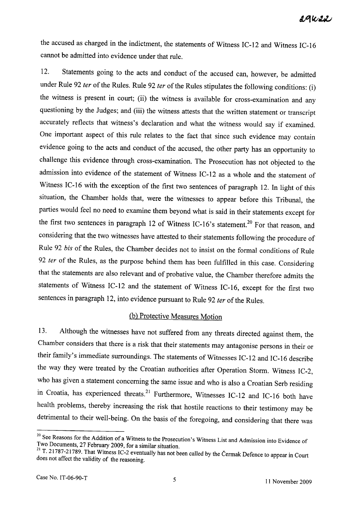the accused as charged in the indictment, the statements of Witness IC-12 and Witness IC-16 cannot be admitted into evidence under that rule.

12. Statements going to the acts and conduct of the accused can, however, be admitted under Rule 92 ter of the Rules. Rule 92 ter of the Rules stipulates the following conditions: (i) the witness is present in court; (ii) the witness is available for cross-examination and any questioning by the Judges; and (iii) the witness attests that the written statement or transcript accurately reflects that witness's declaration and what the witness would say if examined. One important aspect of this rule relates to the fact that since such evidence may contain evidence going to the acts and conduct of the accused, the other party has an opportunity to challenge this evidence through cross-examination. The Prosecution has not objected to the admission into evidence of the statement of Witness IC-12 as a whole and the statement of Witness IC-16 with the exception of the first two sentences of paragraph 12. In light of this situation, the Chamber holds that, were the witnesses to appear before this Tribunal, the parties would feel no need to examine them beyond what is said in their statements except for the first two sentences in paragraph 12 of Witness IC-16's statement.<sup>20</sup> For that reason, and considering that the two witnesses have attested to their statements following the procedure of Rule 92 *bis* of the Rules, the Chamber decides not to insist on the formal conditions of Rule *92* fer of the Rules, as the purpose behind them has been fulfilled in this case. Considering that the statements are also relevant and of probative value, the Chamber therefore admits the statements of Witness IC-12 and the statement of Witness IC-16, except for the first two sentences in paragraph 12, into evidence pursuant to Rule 92 ter of the Rules.

#### (b) Protective Measures Motion

13. Although the witnesses have not suffered from any threats directed against them, the Chamber considers that there is a risk that their statements may antagonise persons in their or their family's immediate surroundings. The statements of Witnesses IC-12 and IC-16 describe the way they were treated by the Croatian authorities after Operation Storm. Witness IC-2, who has given a statement concerning the same issue and who is also a Croatian Serb residing in Croatia, has experienced threats.<sup>21</sup> Furthermore, Witnesses IC-12 and IC-16 both have health problems, thereby increasing the risk that hostile reactions to their testimony may be detrimental to their well-being. On the basis of the foregoing, and considering that there was

<sup>&</sup>lt;sup>20</sup> See Reasons for the Addition of a Witness to the Prosecution's Witness List and Admission into Evidence of Two Documents, 27 February 2009, for a similar situation.

<sup>&</sup>lt;sup>21</sup> T. 21787-21789. That Witness IC-2 eventually has not been called by the Čermak Defence to appear in Court does not affect the validity of the reasoning.